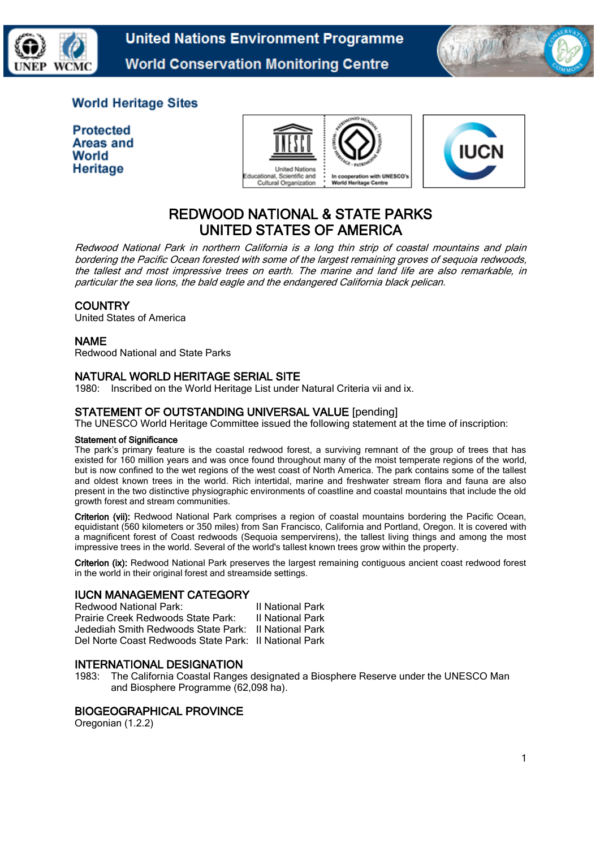



# **World Heritage Sites**

**Protected Areas and** World Heritage





# REDWOOD NATIONAL & STATE PARKS UNITED STATES OF AMERICA

Redwood National Park in northern California is a long thin strip of coastal mountains and plain bordering the Pacific Ocean forested with some of the largest remaining groves of sequoia redwoods, the tallest and most impressive trees on earth. The marine and land life are also remarkable, in particular the sea lions, the bald eagle and the endangered California black pelican.

# **COUNTRY**

United States of America

# NAME

Redwood National and State Parks

# NATURAL WORLD HERITAGE SERIAL SITE

1980: Inscribed on the World Heritage List under Natural Criteria vii and ix.

# STATEMENT OF OUTSTANDING UNIVERSAL VALUE [pending]

The UNESCO World Heritage Committee issued the following statement at the time of inscription:

#### Statement of Significance

The park's primary feature is the coastal redwood forest, a surviving remnant of the group of trees that has existed for 160 million years and was once found throughout many of the moist temperate regions of the world, but is now confined to the wet regions of the west coast of North America. The park contains some of the tallest and oldest known trees in the world. Rich intertidal, marine and freshwater stream flora and fauna are also present in the two distinctive physiographic environments of coastline and coastal mountains that include the old growth forest and stream communities.

Criterion (vii): Redwood National Park comprises a region of coastal mountains bordering the Pacific Ocean, equidistant (560 kilometers or 350 miles) from San Francisco, California and Portland, Oregon. It is covered with a magnificent forest of Coast redwoods (Sequoia sempervirens), the tallest living things and among the most impressive trees in the world. Several of the world's tallest known trees grow within the property.

Criterion (ix): Redwood National Park preserves the largest remaining contiguous ancient coast redwood forest in the world in their original forest and streamside settings.

# IUCN MANAGEMENT CATEGORY

| Redwood National Park:                                | <b>II National Park</b> |
|-------------------------------------------------------|-------------------------|
| Prairie Creek Redwoods State Park:                    | <b>II National Park</b> |
| Jedediah Smith Redwoods State Park:                   | II National Park        |
| Del Norte Coast Redwoods State Park: Il National Park |                         |

### INTERNATIONAL DESIGNATION

1983: The California Coastal Ranges designated a Biosphere Reserve under the UNESCO Man and Biosphere Programme (62,098 ha).

### BIOGEOGRAPHICAL PROVINCE

Oregonian (1.2.2)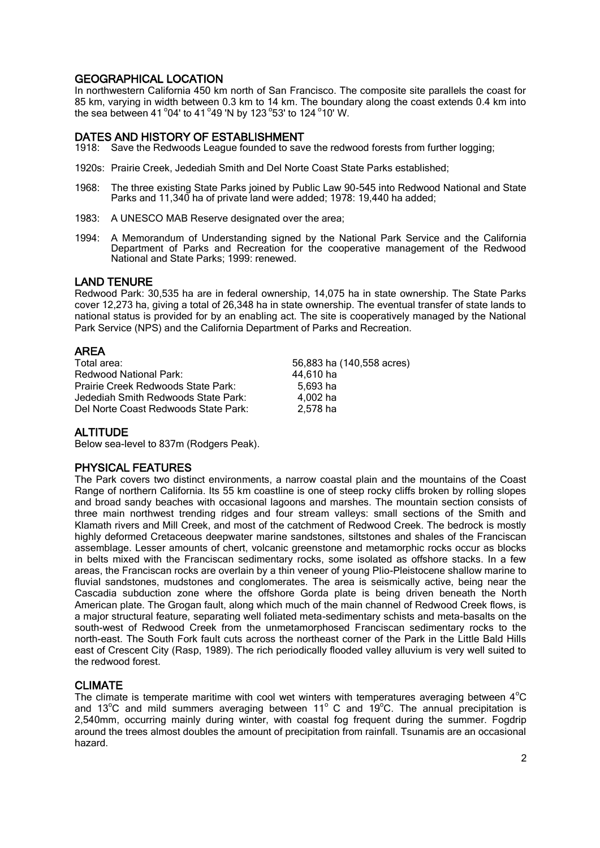# GEOGRAPHICAL LOCATION

In northwestern California 450 km north of San Francisco. The composite site parallels the coast for 85 km, varying in width between 0.3 km to 14 km. The boundary along the coast extends 0.4 km into the sea between 41  $^{\circ}$ 04' to 41  $^{\circ}$ 49 'N by 123  $^{\circ}$ 53' to 124  $^{\circ}$ 10' W.

# DATES AND HISTORY OF ESTABLISHMENT

- 1918: Save the Redwoods League founded to save the redwood forests from further logging;
- 1920s: Prairie Creek, Jedediah Smith and Del Norte Coast State Parks established;
- 1968: The three existing State Parks joined by Public Law 90-545 into Redwood National and State Parks and 11,340 ha of private land were added; 1978: 19,440 ha added;
- 1983: A UNESCO MAB Reserve designated over the area;
- 1994: A Memorandum of Understanding signed by the National Park Service and the California Department of Parks and Recreation for the cooperative management of the Redwood National and State Parks; 1999: renewed.

#### LAND TENURE

Redwood Park: 30,535 ha are in federal ownership, 14,075 ha in state ownership. The State Parks cover 12,273 ha, giving a total of 26,348 ha in state ownership. The eventual transfer of state lands to national status is provided for by an enabling act. The site is cooperatively managed by the National Park Service (NPS) and the California Department of Parks and Recreation.

# AREA

| Total area:                          | 56,883 ha (140,558 acres) |
|--------------------------------------|---------------------------|
| Redwood National Park:               | 44.610 ha                 |
| Prairie Creek Redwoods State Park:   | 5.693 ha                  |
| Jedediah Smith Redwoods State Park:  | 4.002 ha                  |
| Del Norte Coast Redwoods State Park: | 2,578 ha                  |

### **ALTITUDE**

Below sea-level to 837m (Rodgers Peak).

# PHYSICAL FEATURES

The Park covers two distinct environments, a narrow coastal plain and the mountains of the Coast Range of northern California. Its 55 km coastline is one of steep rocky cliffs broken by rolling slopes and broad sandy beaches with occasional lagoons and marshes. The mountain section consists of three main northwest trending ridges and four stream valleys: small sections of the Smith and Klamath rivers and Mill Creek, and most of the catchment of Redwood Creek. The bedrock is mostly highly deformed Cretaceous deepwater marine sandstones, siltstones and shales of the Franciscan assemblage. Lesser amounts of chert, volcanic greenstone and metamorphic rocks occur as blocks in belts mixed with the Franciscan sedimentary rocks, some isolated as offshore stacks. In a few areas, the Franciscan rocks are overlain by a thin veneer of young Plio-Pleistocene shallow marine to fluvial sandstones, mudstones and conglomerates. The area is seismically active, being near the Cascadia subduction zone where the offshore Gorda plate is being driven beneath the North American plate. The Grogan fault, along which much of the main channel of Redwood Creek flows, is a major structural feature, separating well foliated meta-sedimentary schists and meta-basalts on the south-west of Redwood Creek from the unmetamorphosed Franciscan sedimentary rocks to the north-east. The South Fork fault cuts across the northeast corner of the Park in the Little Bald Hills east of Crescent City (Rasp, 1989). The rich periodically flooded valley alluvium is very well suited to the redwood forest.

### CLIMATE

The climate is temperate maritime with cool wet winters with temperatures averaging between  $4^{\circ}C$ and 13 $^{\circ}$ C and mild summers averaging between 11 $^{\circ}$  C and 19 $^{\circ}$ C. The annual precipitation is 2,540mm, occurring mainly during winter, with coastal fog frequent during the summer. Fogdrip around the trees almost doubles the amount of precipitation from rainfall. Tsunamis are an occasional hazard.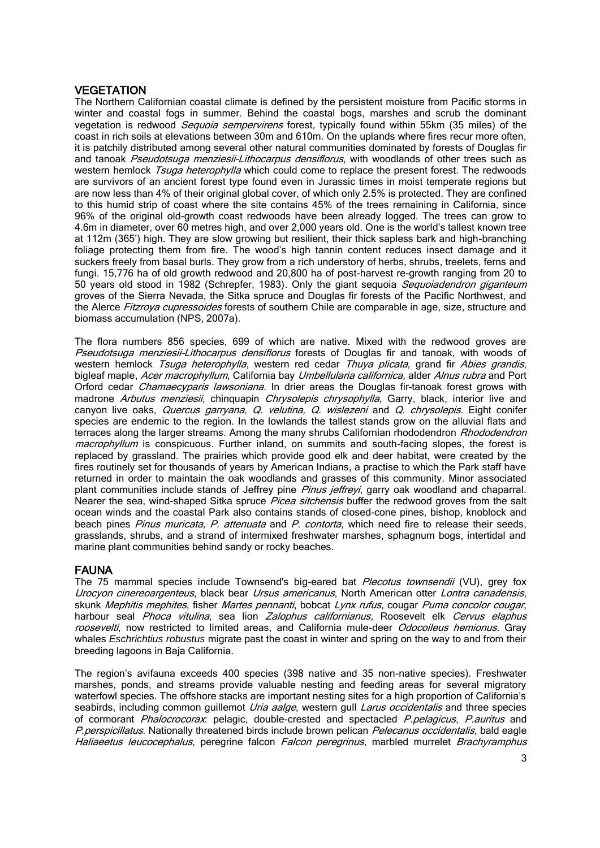# **VEGETATION**

The Northern Californian coastal climate is defined by the persistent moisture from Pacific storms in winter and coastal fogs in summer. Behind the coastal bogs, marshes and scrub the dominant vegetation is redwood Sequoia sempervirens forest, typically found within 55km (35 miles) of the coast in rich soils at elevations between 30m and 610m. On the uplands where fires recur more often, it is patchily distributed among several other natural communities dominated by forests of Douglas fir and tanoak Pseudotsuga menziesii-Lithocarpus densiflorus, with woodlands of other trees such as western hemlock Tsuga heterophylla which could come to replace the present forest. The redwoods are survivors of an ancient forest type found even in Jurassic times in moist temperate regions but are now less than 4% of their original global cover, of which only 2.5% is protected. They are confined to this humid strip of coast where the site contains 45% of the trees remaining in California, since 96% of the original old-growth coast redwoods have been already logged. The trees can grow to 4.6m in diameter, over 60 metres high, and over 2,000 years old. One is the world's tallest known tree at 112m (365') high. They are slow growing but resilient, their thick sapless bark and high-branching foliage protecting them from fire. The wood's high tannin content reduces insect damage and it suckers freely from basal burls. They grow from a rich understory of herbs, shrubs, treelets, ferns and fungi. 15,776 ha of old growth redwood and 20,800 ha of post-harvest re-growth ranging from 20 to 50 years old stood in 1982 (Schrepfer, 1983). Only the giant sequoia Sequoiadendron giganteum groves of the Sierra Nevada, the Sitka spruce and Douglas fir forests of the Pacific Northwest, and the Alerce Fitzroya cupressoides forests of southern Chile are comparable in age, size, structure and biomass accumulation (NPS, 2007a).

The flora numbers 856 species, 699 of which are native. Mixed with the redwood groves are Pseudotsuga menziesii-Lithocarpus densiflorus forests of Douglas fir and tanoak, with woods of western hemlock Tsuga heterophylla, western red cedar Thuya plicata, grand fir Abies grandis, bigleaf maple, Acer macrophyllum, California bay Umbellularia californica, alder Alnus rubra and Port Orford cedar *Chamaecyparis lawsoniana*. In drier areas the Douglas fir-tanoak forest grows with madrone Arbutus menziesii, chinquapin Chrysolepis chrysophylla, Garry, black, interior live and canyon live oaks, Quercus garryana, Q. velutina, Q. wislezeni and Q. chrysolepis. Eight conifer species are endemic to the region. In the lowlands the tallest stands grow on the alluvial flats and terraces along the larger streams. Among the many shrubs Californian rhododendron Rhododendron macrophyllum is conspicuous. Further inland, on summits and south-facing slopes, the forest is replaced by grassland. The prairies which provide good elk and deer habitat, were created by the fires routinely set for thousands of years by American Indians, a practise to which the Park staff have returned in order to maintain the oak woodlands and grasses of this community. Minor associated plant communities include stands of Jeffrey pine Pinus jeffreyi, garry oak woodland and chaparral. Nearer the sea, wind-shaped Sitka spruce Picea sitchensis buffer the redwood groves from the salt ocean winds and the coastal Park also contains stands of closed-cone pines, bishop, knoblock and beach pines Pinus muricata, P. attenuata and P. contorta, which need fire to release their seeds, grasslands, shrubs, and a strand of intermixed freshwater marshes, sphagnum bogs, intertidal and marine plant communities behind sandy or rocky beaches.

# FAUNA

The 75 mammal species include Townsend's big-eared bat *Plecotus townsendii* (VU), grey fox Urocyon cinereoargenteus, black bear Ursus americanus, North American otter Lontra canadensis, skunk Mephitis mephites, fisher Martes pennanti, bobcat Lynx rufus, cougar Puma concolor cougar, harbour seal Phoca vitulina, sea lion Zalophus californianus, Roosevelt elk Cervus elaphus roosevelti, now restricted to limited areas, and California mule-deer Odocoileus hemionus. Gray whales *Eschrichtius robustus* migrate past the coast in winter and spring on the way to and from their breeding lagoons in Baja California.

The region's avifauna exceeds 400 species (398 native and 35 non-native species). Freshwater marshes, ponds, and streams provide valuable nesting and feeding areas for several migratory waterfowl species. The offshore stacks are important nesting sites for a high proportion of California's seabirds, including common guillemot Uria aalge, western gull Larus occidentalis and three species of cormorant Phalocrocorax: pelagic, double-crested and spectacled P.pelagicus, P.auritus and P.perspicillatus. Nationally threatened birds include brown pelican Pelecanus occidentalis, bald eagle Haliaeetus leucocephalus, peregrine falcon Falcon peregrinus, marbled murrelet Brachyramphus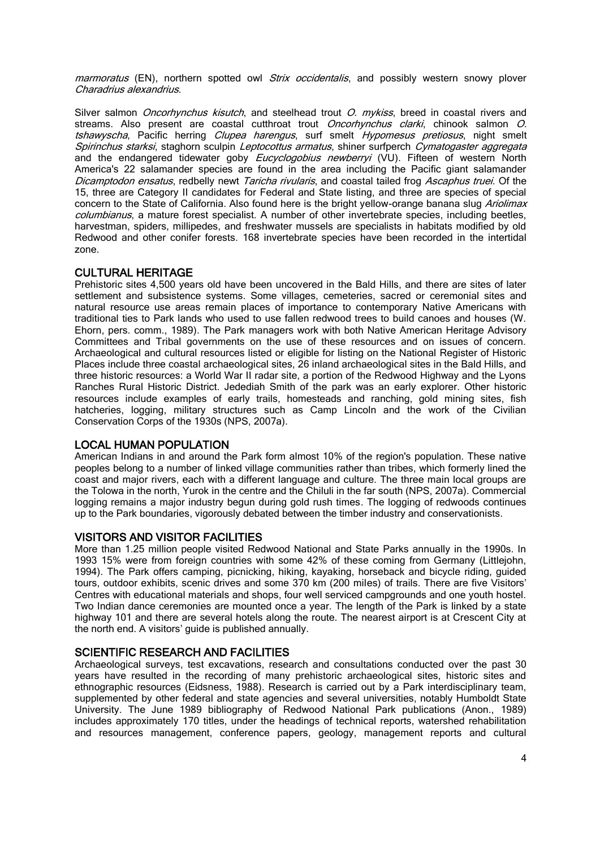marmoratus (EN), northern spotted owl Strix occidentalis, and possibly western snowy plover Charadrius alexandrius.

Silver salmon *Oncorhynchus kisutch*, and steelhead trout *O. mykiss*, breed in coastal rivers and streams. Also present are coastal cutthroat trout Oncorhynchus clarki, chinook salmon O. tshawyscha, Pacific herring Clupea harengus, surf smelt Hypomesus pretiosus, night smelt Spirinchus starksi, staghorn sculpin Leptocottus armatus, shiner surfperch Cymatogaster aggregata and the endangered tidewater goby Eucyclogobius newberryi (VU). Fifteen of western North America's 22 salamander species are found in the area including the Pacific giant salamander Dicamptodon ensatus, redbelly newt Taricha rivularis, and coastal tailed frog Ascaphus truei. Of the 15, three are Category II candidates for Federal and State listing, and three are species of special concern to the State of California. Also found here is the bright yellow-orange banana slug Ariolimax columbianus, a mature forest specialist. A number of other invertebrate species, including beetles, harvestman, spiders, millipedes, and freshwater mussels are specialists in habitats modified by old Redwood and other conifer forests. 168 invertebrate species have been recorded in the intertidal zone.

### CULTURAL HERITAGE

Prehistoric sites 4,500 years old have been uncovered in the Bald Hills, and there are sites of later settlement and subsistence systems. Some villages, cemeteries, sacred or ceremonial sites and natural resource use areas remain places of importance to contemporary Native Americans with traditional ties to Park lands who used to use fallen redwood trees to build canoes and houses (W. Ehorn, pers. comm., 1989). The Park managers work with both Native American Heritage Advisory Committees and Tribal governments on the use of these resources and on issues of concern. Archaeological and cultural resources listed or eligible for listing on the National Register of Historic Places include three coastal archaeological sites, 26 inland archaeological sites in the Bald Hills, and three historic resources: a World War II radar site, a portion of the Redwood Highway and the Lyons Ranches Rural Historic District. Jedediah Smith of the park was an early explorer. Other historic resources include examples of early trails, homesteads and ranching, gold mining sites, fish hatcheries, logging, military structures such as Camp Lincoln and the work of the Civilian Conservation Corps of the 1930s (NPS, 2007a).

### LOCAL HUMAN POPULATION

American Indians in and around the Park form almost 10% of the region's population. These native peoples belong to a number of linked village communities rather than tribes, which formerly lined the coast and major rivers, each with a different language and culture. The three main local groups are the Tolowa in the north, Yurok in the centre and the Chiluli in the far south (NPS, 2007a). Commercial logging remains a major industry begun during gold rush times. The logging of redwoods continues up to the Park boundaries, vigorously debated between the timber industry and conservationists.

### VISITORS AND VISITOR FACILITIES

More than 1.25 million people visited Redwood National and State Parks annually in the 1990s. In 1993 15% were from foreign countries with some 42% of these coming from Germany (Littlejohn, 1994). The Park offers camping, picnicking, hiking, kayaking, horseback and bicycle riding, guided tours, outdoor exhibits, scenic drives and some 370 km (200 miles) of trails. There are five Visitors' Centres with educational materials and shops, four well serviced campgrounds and one youth hostel. Two Indian dance ceremonies are mounted once a year. The length of the Park is linked by a state highway 101 and there are several hotels along the route. The nearest airport is at Crescent City at the north end. A visitors' guide is published annually.

### SCIENTIFIC RESEARCH AND FACILITIES

Archaeological surveys, test excavations, research and consultations conducted over the past 30 years have resulted in the recording of many prehistoric archaeological sites, historic sites and ethnographic resources (Eidsness, 1988). Research is carried out by a Park interdisciplinary team, supplemented by other federal and state agencies and several universities, notably Humboldt State University. The June 1989 bibliography of Redwood National Park publications (Anon., 1989) includes approximately 170 titles, under the headings of technical reports, watershed rehabilitation and resources management, conference papers, geology, management reports and cultural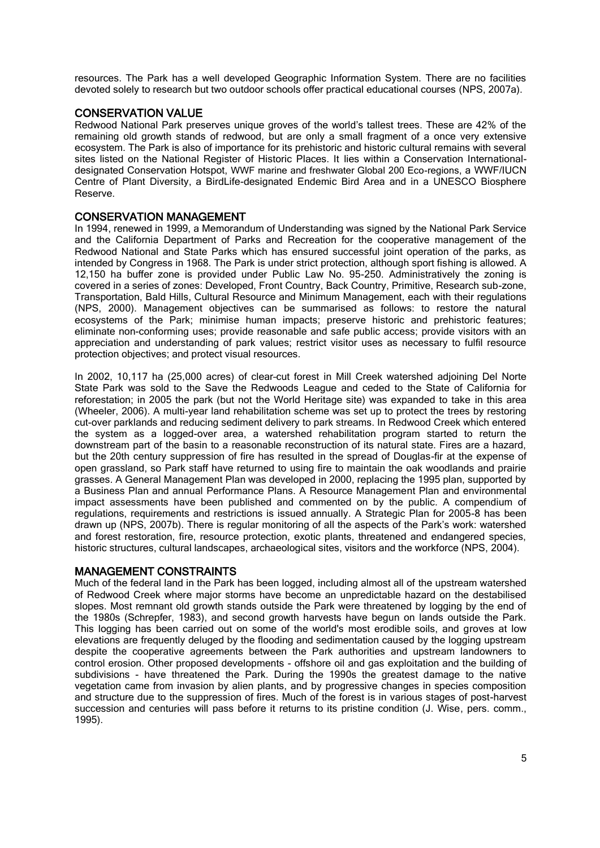resources. The Park has a well developed Geographic Information System. There are no facilities devoted solely to research but two outdoor schools offer practical educational courses (NPS, 2007a).

# CONSERVATION VALUE

Redwood National Park preserves unique groves of the world's tallest trees. These are 42% of the remaining old growth stands of redwood, but are only a small fragment of a once very extensive ecosystem. The Park is also of importance for its prehistoric and historic cultural remains with several sites listed on the National Register of Historic Places. It lies within a Conservation Internationaldesignated Conservation Hotspot, WWF marine and freshwater Global 200 Eco-regions, a WWF/IUCN Centre of Plant Diversity, a BirdLife-designated Endemic Bird Area and in a UNESCO Biosphere Reserve.

### CONSERVATION MANAGEMENT

In 1994, renewed in 1999, a Memorandum of Understanding was signed by the National Park Service and the California Department of Parks and Recreation for the cooperative management of the Redwood National and State Parks which has ensured successful joint operation of the parks, as intended by Congress in 1968. The Park is under strict protection, although sport fishing is allowed. A 12,150 ha buffer zone is provided under Public Law No. 95-250. Administratively the zoning is covered in a series of zones: Developed, Front Country, Back Country, Primitive, Research sub-zone, Transportation, Bald Hills, Cultural Resource and Minimum Management, each with their regulations (NPS, 2000). Management objectives can be summarised as follows: to restore the natural ecosystems of the Park; minimise human impacts; preserve historic and prehistoric features; eliminate non-conforming uses; provide reasonable and safe public access; provide visitors with an appreciation and understanding of park values; restrict visitor uses as necessary to fulfil resource protection objectives; and protect visual resources.

In 2002, 10,117 ha (25,000 acres) of clear–cut forest in Mill Creek watershed adjoining Del Norte State Park was sold to the Save the Redwoods League and ceded to the State of California for reforestation; in 2005 the park (but not the World Heritage site) was expanded to take in this area (Wheeler, 2006). A multi-year land rehabilitation scheme was set up to protect the trees by restoring cut-over parklands and reducing sediment delivery to park streams. In Redwood Creek which entered the system as a logged-over area, a watershed rehabilitation program started to return the downstream part of the basin to a reasonable reconstruction of its natural state. Fires are a hazard, but the 20th century suppression of fire has resulted in the spread of Douglas-fir at the expense of open grassland, so Park staff have returned to using fire to maintain the oak woodlands and prairie grasses. A General Management Plan was developed in 2000, replacing the 1995 plan, supported by a Business Plan and annual Performance Plans. A Resource Management Plan and environmental impact assessments have been published and commented on by the public. A compendium of regulations, requirements and restrictions is issued annually. A Strategic Plan for 2005-8 has been drawn up (NPS, 2007b). There is regular monitoring of all the aspects of the Park's work: watershed and forest restoration, fire, resource protection, exotic plants, threatened and endangered species, historic structures, cultural landscapes, archaeological sites, visitors and the workforce (NPS, 2004).

### MANAGEMENT CONSTRAINTS

Much of the federal land in the Park has been logged, including almost all of the upstream watershed of Redwood Creek where major storms have become an unpredictable hazard on the destabilised slopes. Most remnant old growth stands outside the Park were threatened by logging by the end of the 1980s (Schrepfer, 1983), and second growth harvests have begun on lands outside the Park. This logging has been carried out on some of the world's most erodible soils, and groves at low elevations are frequently deluged by the flooding and sedimentation caused by the logging upstream despite the cooperative agreements between the Park authorities and upstream landowners to control erosion. Other proposed developments - offshore oil and gas exploitation and the building of subdivisions - have threatened the Park. During the 1990s the greatest damage to the native vegetation came from invasion by alien plants, and by progressive changes in species composition and structure due to the suppression of fires. Much of the forest is in various stages of post-harvest succession and centuries will pass before it returns to its pristine condition (J. Wise, pers. comm., 1995).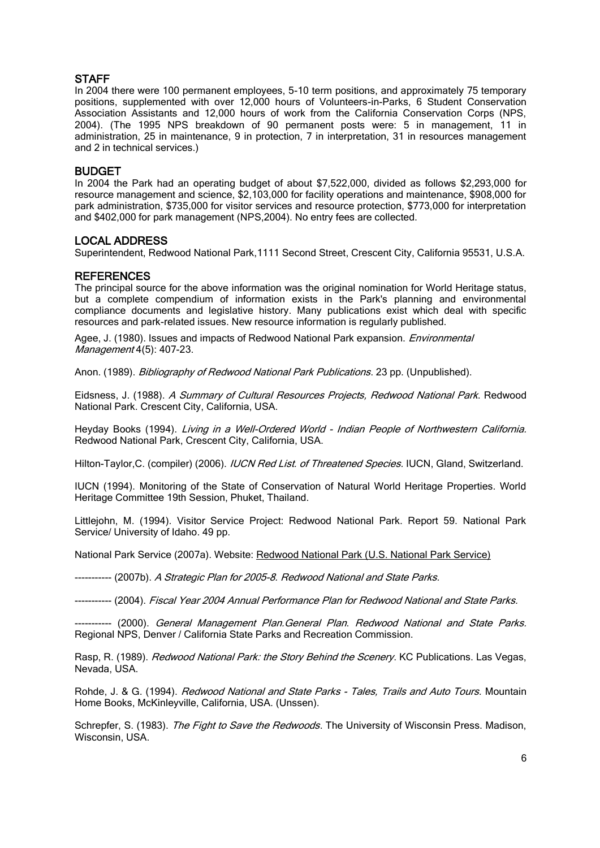### **STAFF**

In 2004 there were 100 permanent employees, 5-10 term positions, and approximately 75 temporary positions, supplemented with over 12,000 hours of Volunteers-in-Parks, 6 Student Conservation Association Assistants and 12,000 hours of work from the California Conservation Corps (NPS, 2004). (The 1995 NPS breakdown of 90 permanent posts were: 5 in management, 11 in administration, 25 in maintenance, 9 in protection, 7 in interpretation, 31 in resources management and 2 in technical services.)

# BUDGET

In 2004 the Park had an operating budget of about \$7,522,000, divided as follows \$2,293,000 for resource management and science, \$2,103,000 for facility operations and maintenance, \$908,000 for park administration, \$735,000 for visitor services and resource protection, \$773,000 for interpretation and \$402,000 for park management (NPS,2004). No entry fees are collected.

# LOCAL ADDRESS

Superintendent, Redwood National Park,1111 Second Street, Crescent City, California 95531, U.S.A.

# **REFERENCES**

The principal source for the above information was the original nomination for World Heritage status, but a complete compendium of information exists in the Park's planning and environmental compliance documents and legislative history. Many publications exist which deal with specific resources and park-related issues. New resource information is regularly published.

Agee, J. (1980). Issues and impacts of Redwood National Park expansion. *Environmental* Management 4(5): 407-23.

Anon. (1989). Bibliography of Redwood National Park Publications. 23 pp. (Unpublished).

Eidsness, J. (1988). A Summary of Cultural Resources Projects, Redwood National Park. Redwood National Park. Crescent City, California, USA.

Heyday Books (1994). Living in a Well-Ordered World - Indian People of Northwestern California. Redwood National Park, Crescent City, California, USA.

Hilton-Taylor, C. (compiler) (2006). *IUCN Red List. of Threatened Species.* IUCN, Gland, Switzerland.

IUCN (1994). Monitoring of the State of Conservation of Natural World Heritage Properties. World Heritage Committee 19th Session, Phuket, Thailand.

Littlejohn, M. (1994). Visitor Service Project: Redwood National Park. Report 59. National Park Service/ University of Idaho. 49 pp.

National Park Service (2007a). Website: [Redwood National Park \(U.S. National Park Service\)](http://www.nps.gov/redw/)

----------- (2007b). A Strategic Plan for 2005-8. Redwood National and State Parks.

----------- (2004). Fiscal Year 2004 Annual Performance Plan for Redwood National and State Parks.

----------- (2000). General Management Plan.General Plan. Redwood National and State Parks. Regional NPS, Denver / California State Parks and Recreation Commission.

Rasp, R. (1989). Redwood National Park: the Story Behind the Scenery. KC Publications. Las Vegas, Nevada, USA.

Rohde, J. & G. (1994). Redwood National and State Parks - Tales, Trails and Auto Tours. Mountain Home Books, McKinleyville, California, USA. (Unssen).

Schrepfer, S. (1983). The Fight to Save the Redwoods. The University of Wisconsin Press. Madison, Wisconsin, USA.